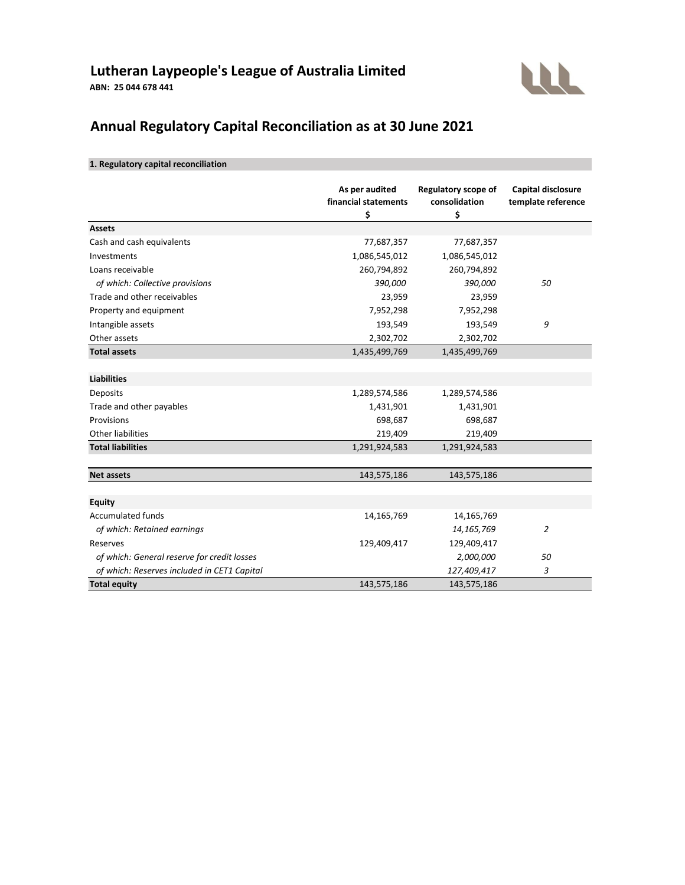# **Lutheran Laypeople's League of Australia Limited ABN: 25 044 678 441**



# **Annual Regulatory Capital Reconciliation as at 30 June 2021**

## **1. Regulatory capital reconciliation**

|                                             | As per audited<br>financial statements<br>\$ | <b>Regulatory scope of</b><br>consolidation<br>\$ | <b>Capital disclosure</b><br>template reference |
|---------------------------------------------|----------------------------------------------|---------------------------------------------------|-------------------------------------------------|
| <b>Assets</b>                               |                                              |                                                   |                                                 |
| Cash and cash equivalents                   | 77,687,357                                   | 77,687,357                                        |                                                 |
| Investments                                 | 1,086,545,012                                | 1,086,545,012                                     |                                                 |
| Loans receivable                            | 260,794,892                                  | 260,794,892                                       |                                                 |
| of which: Collective provisions             | 390,000                                      | 390,000                                           | 50                                              |
| Trade and other receivables                 | 23,959                                       | 23,959                                            |                                                 |
| Property and equipment                      | 7,952,298                                    | 7,952,298                                         |                                                 |
| Intangible assets                           | 193,549                                      | 193,549                                           | 9                                               |
| Other assets                                | 2,302,702                                    | 2,302,702                                         |                                                 |
| <b>Total assets</b>                         | 1,435,499,769                                | 1,435,499,769                                     |                                                 |
| <b>Liabilities</b>                          |                                              |                                                   |                                                 |
| Deposits                                    | 1,289,574,586                                | 1,289,574,586                                     |                                                 |
| Trade and other payables                    | 1,431,901                                    | 1,431,901                                         |                                                 |
| Provisions                                  | 698,687                                      | 698,687                                           |                                                 |
| <b>Other liabilities</b>                    | 219,409                                      | 219,409                                           |                                                 |
| <b>Total liabilities</b>                    | 1,291,924,583                                | 1,291,924,583                                     |                                                 |
| <b>Net assets</b>                           | 143,575,186                                  | 143,575,186                                       |                                                 |
|                                             |                                              |                                                   |                                                 |
| <b>Equity</b>                               |                                              |                                                   |                                                 |
| <b>Accumulated funds</b>                    | 14,165,769                                   | 14,165,769                                        |                                                 |
| of which: Retained earnings                 |                                              | 14, 165, 769                                      | $\overline{c}$                                  |
| Reserves                                    | 129,409,417                                  | 129,409,417                                       |                                                 |
| of which: General reserve for credit losses |                                              | 2,000,000                                         | 50                                              |
| of which: Reserves included in CET1 Capital |                                              | 127,409,417                                       | 3                                               |
| <b>Total equity</b>                         | 143,575,186                                  | 143,575,186                                       |                                                 |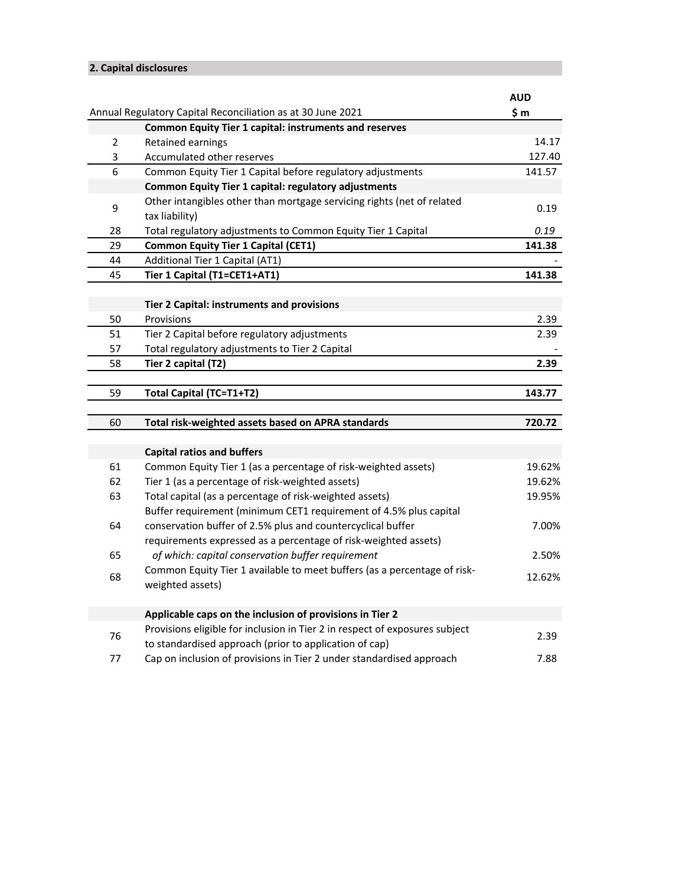## **2. Capital disclosures**

|    |                                                                                                                              | <b>AUD</b> |
|----|------------------------------------------------------------------------------------------------------------------------------|------------|
|    | Annual Regulatory Capital Reconciliation as at 30 June 2021<br><b>Common Equity Tier 1 capital: instruments and reserves</b> | \$m        |
| 2  | Retained earnings                                                                                                            | 14.17      |
| 3  | Accumulated other reserves                                                                                                   | 127.40     |
| 6  | Common Equity Tier 1 Capital before regulatory adjustments                                                                   | 141.57     |
|    | <b>Common Equity Tier 1 capital: regulatory adjustments</b>                                                                  |            |
|    | Other intangibles other than mortgage servicing rights (net of related                                                       |            |
| 9  | tax liability)                                                                                                               | 0.19       |
| 28 | Total regulatory adjustments to Common Equity Tier 1 Capital                                                                 | 0.19       |
| 29 | <b>Common Equity Tier 1 Capital (CET1)</b>                                                                                   | 141.38     |
| 44 | Additional Tier 1 Capital (AT1)                                                                                              |            |
| 45 | Tier 1 Capital (T1=CET1+AT1)                                                                                                 | 141.38     |
|    |                                                                                                                              |            |
|    | Tier 2 Capital: instruments and provisions                                                                                   |            |
| 50 | Provisions                                                                                                                   | 2.39       |
| 51 | Tier 2 Capital before regulatory adjustments                                                                                 | 2.39       |
| 57 | Total regulatory adjustments to Tier 2 Capital                                                                               |            |
| 58 | Tier 2 capital (T2)                                                                                                          | 2.39       |
|    |                                                                                                                              |            |
| 59 | Total Capital (TC=T1+T2)                                                                                                     | 143.77     |
| 60 | Total risk-weighted assets based on APRA standards                                                                           | 720.72     |
|    |                                                                                                                              |            |
|    | <b>Capital ratios and buffers</b>                                                                                            |            |
| 61 | Common Equity Tier 1 (as a percentage of risk-weighted assets)                                                               | 19.62%     |
| 62 | Tier 1 (as a percentage of risk-weighted assets)                                                                             | 19.62%     |
| 63 | Total capital (as a percentage of risk-weighted assets)                                                                      | 19.95%     |
|    | Buffer requirement (minimum CET1 requirement of 4.5% plus capital                                                            |            |
| 64 | conservation buffer of 2.5% plus and countercyclical buffer                                                                  | 7.00%      |
|    | requirements expressed as a percentage of risk-weighted assets)                                                              |            |
| 65 | of which: capital conservation buffer requirement                                                                            | 2.50%      |
| 68 | Common Equity Tier 1 available to meet buffers (as a percentage of risk-<br>weighted assets)                                 | 12.62%     |
|    |                                                                                                                              |            |
|    | Applicable caps on the inclusion of provisions in Tier 2                                                                     |            |
| 76 | Provisions eligible for inclusion in Tier 2 in respect of exposures subject                                                  | 2.39       |
|    | to standardised approach (prior to application of cap)                                                                       |            |
| 77 | Cap on inclusion of provisions in Tier 2 under standardised approach                                                         | 7.88       |